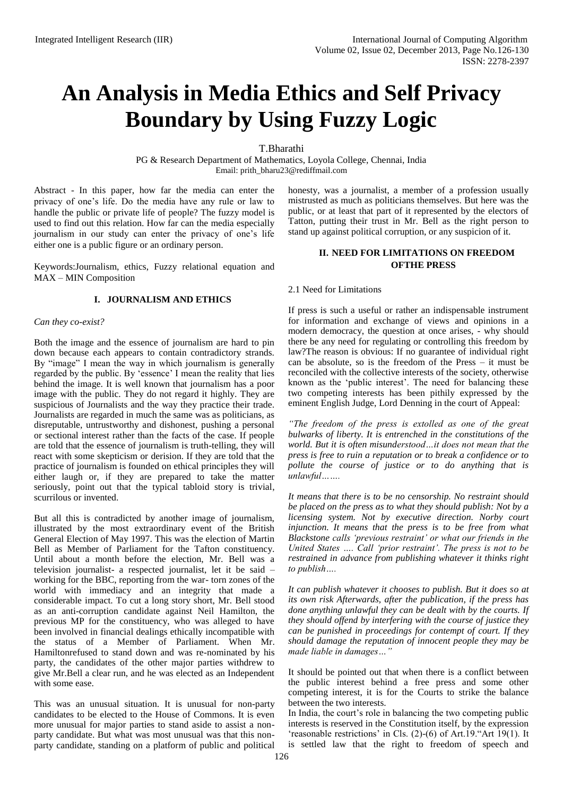# **An Analysis in Media Ethics and Self Privacy Boundary by Using Fuzzy Logic**

T.Bharathi

PG & Research Department of Mathematics, Loyola College, Chennai, India Email: prith\_bharu23@rediffmail.com

Abstract - In this paper, how far the media can enter the privacy of one's life. Do the media have any rule or law to handle the public or private life of people? The fuzzy model is used to find out this relation. How far can the media especially journalism in our study can enter the privacy of one's life either one is a public figure or an ordinary person.

Keywords:Journalism, ethics, Fuzzy relational equation and MAX – MIN Composition

## **I. JOURNALISM AND ETHICS**

## *Can they co-exist?*

Both the image and the essence of journalism are hard to pin down because each appears to contain contradictory strands. By "image" I mean the way in which journalism is generally regarded by the public. By 'essence' I mean the reality that lies behind the image. It is well known that journalism has a poor image with the public. They do not regard it highly. They are suspicious of Journalists and the way they practice their trade. Journalists are regarded in much the same was as politicians, as disreputable, untrustworthy and dishonest, pushing a personal or sectional interest rather than the facts of the case. If people are told that the essence of journalism is truth-telling, they will react with some skepticism or derision. If they are told that the practice of journalism is founded on ethical principles they will either laugh or, if they are prepared to take the matter seriously, point out that the typical tabloid story is trivial, scurrilous or invented.

But all this is contradicted by another image of journalism, illustrated by the most extraordinary event of the British General Election of May 1997. This was the election of Martin Bell as Member of Parliament for the Tafton constituency. Until about a month before the election, Mr. Bell was a television journalist- a respected journalist, let it be said – working for the BBC, reporting from the war- torn zones of the world with immediacy and an integrity that made a considerable impact. To cut a long story short, Mr. Bell stood as an anti-corruption candidate against Neil Hamilton, the previous MP for the constituency, who was alleged to have been involved in financial dealings ethically incompatible with the status of a Member of Parliament. When Mr. Hamiltonrefused to stand down and was re-nominated by his party, the candidates of the other major parties withdrew to give Mr.Bell a clear run, and he was elected as an Independent with some ease.

This was an unusual situation. It is unusual for non-party candidates to be elected to the House of Commons. It is even more unusual for major parties to stand aside to assist a nonparty candidate. But what was most unusual was that this nonparty candidate, standing on a platform of public and political honesty, was a journalist, a member of a profession usually mistrusted as much as politicians themselves. But here was the public, or at least that part of it represented by the electors of Tatton, putting their trust in Mr. Bell as the right person to stand up against political corruption, or any suspicion of it.

## **II. NEED FOR LIMITATIONS ON FREEDOM OFTHE PRESS**

## 2.1 Need for Limitations

If press is such a useful or rather an indispensable instrument for information and exchange of views and opinions in a modern democracy, the question at once arises, - why should there be any need for regulating or controlling this freedom by law?The reason is obvious: If no guarantee of individual right can be absolute, so is the freedom of the Press – it must be reconciled with the collective interests of the society, otherwise known as the 'public interest'. The need for balancing these two competing interests has been pithily expressed by the eminent English Judge, Lord Denning in the court of Appeal:

*"The freedom of the press is extolled as one of the great bulwarks of liberty. It is entrenched in the constitutions of the world. But it is often misunderstood…it does not mean that the press is free to ruin a reputation or to break a confidence or to pollute the course of justice or to do anything that is unlawful…….*

*It means that there is to be no censorship. No restraint should be placed on the press as to what they should publish: Not by a licensing system. Not by executive direction. Norby court injunction. It means that the press is to be free from what Blackstone calls 'previous restraint' or what our friends in the United States …. Call 'prior restraint'. The press is not to be restrained in advance from publishing whatever it thinks right to publish….*

*It can publish whatever it chooses to publish. But it does so at its own risk Afterwards, after the publication, if the press has done anything unlawful they can be dealt with by the courts. If they should offend by interfering with the course of justice they can be punished in proceedings for contempt of court. If they should damage the reputation of innocent people they may be made liable in damages…"*

It should be pointed out that when there is a conflict between the public interest behind a free press and some other competing interest, it is for the Courts to strike the balance between the two interests.

In India, the court's role in balancing the two competing public interests is reserved in the Constitution itself, by the expression 'reasonable restrictions' in Cls. (2)-(6) of Art.19."Art 19(1). It is settled law that the right to freedom of speech and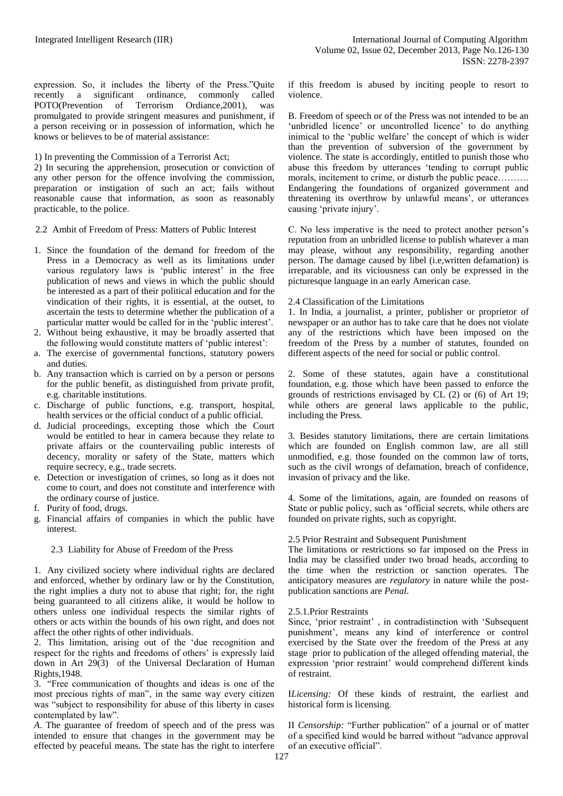expression. So, it includes the liberty of the Press."Quite recently a significant ordinance, commonly called POTO(Prevention of Terrorism Ordiance,2001), was promulgated to provide stringent measures and punishment, if a person receiving or in possession of information, which he knows or believes to be of material assistance:

1) In preventing the Commission of a Terrorist Act;

2) In securing the apprehension, prosecution or conviction of any other person for the offence involving the commission, preparation or instigation of such an act; fails without reasonable cause that information, as soon as reasonably practicable, to the police.

2.2 Ambit of Freedom of Press: Matters of Public Interest

- 1. Since the foundation of the demand for freedom of the Press in a Democracy as well as its limitations under various regulatory laws is 'public interest' in the free publication of news and views in which the public should be interested as a part of their political education and for the vindication of their rights, it is essential, at the outset, to ascertain the tests to determine whether the publication of a particular matter would be called for in the 'public interest'.
- 2. Without being exhaustive, it may be broadly asserted that the following would constitute matters of 'public interest':
- a. The exercise of governmental functions, statutory powers and duties.
- b. Any transaction which is carried on by a person or persons for the public benefit, as distinguished from private profit, e.g. charitable institutions.
- c. Discharge of public functions, e.g. transport, hospital, health services or the official conduct of a public official.
- d. Judicial proceedings, excepting those which the Court would be entitled to hear in camera because they relate to private affairs or the countervailing public interests of decency, morality or safety of the State, matters which require secrecy, e.g., trade secrets.
- e. Detection or investigation of crimes, so long as it does not come to court, and does not constitute and interference with the ordinary course of justice.
- f. Purity of food, drugs.
- g. Financial affairs of companies in which the public have interest.

## 2.3 Liability for Abuse of Freedom of the Press

1. Any civilized society where individual rights are declared and enforced, whether by ordinary law or by the Constitution, the right implies a duty not to abuse that right; for, the right being guaranteed to all citizens alike, it would be hollow to others unless one individual respects the similar rights of others or acts within the bounds of his own right, and does not affect the other rights of other individuals.

2. This limitation, arising out of the 'due recognition and respect for the rights and freedoms of others' is expressly laid down in Art 29(3) of the Universal Declaration of Human Rights,1948.

3. "Free communication of thoughts and ideas is one of the most precious rights of man", in the same way every citizen was "subject to responsibility for abuse of this liberty in cases contemplated by law".

*A*. The guarantee of freedom of speech and of the press was intended to ensure that changes in the government may be effected by peaceful means. The state has the right to interfere if this freedom is abused by inciting people to resort to violence.

B. Freedom of speech or of the Press was not intended to be an 'unbridled licence' or uncontrolled licence' to do anything inimical to the 'public welfare' the concept of which is wider than the prevention of subversion of the government by violence. The state is accordingly, entitled to punish those who abuse this freedom by utterances 'tending to corrupt public morals, incitement to crime, or disturb the public peace......... Endangering the foundations of organized government and threatening its overthrow by unlawful means', or utterances causing 'private injury'.

C. No less imperative is the need to protect another person's reputation from an unbridled license to publish whatever a man may please, without any responsibility, regarding another person. The damage caused by libel (i.e,written defamation) is irreparable, and its viciousness can only be expressed in the picturesque language in an early American case.

#### 2.4 Classification of the Limitations

1. In India, a journalist, a printer, publisher or proprietor of newspaper or an author has to take care that he does not violate any of the restrictions which have been imposed on the freedom of the Press by a number of statutes, founded on different aspects of the need for social or public control.

2. Some of these statutes, again have a constitutional foundation, e.g. those which have been passed to enforce the grounds of restrictions envisaged by CL (2) or (6) of Art 19; while others are general laws applicable to the public, including the Press.

3. Besides statutory limitations, there are certain limitations which are founded on English common law, are all still unmodified, e.g. those founded on the common law of torts, such as the civil wrongs of defamation, breach of confidence, invasion of privacy and the like.

4. Some of the limitations, again, are founded on reasons of State or public policy, such as 'official secrets, while others are founded on private rights, such as copyright.

#### 2.5 Prior Restraint and Subsequent Punishment

The limitations or restrictions so far imposed on the Press in India may be classified under two broad heads, according to the time when the restriction or sanction operates. The anticipatory measures are *regulatory* in nature while the postpublication sanctions are *Penal*.

#### 2.5.1.Prior Restraints

Since, 'prior restraint' , in contradistinction with 'Subsequent punishment', means any kind of interference or control exercised by the State over the freedom of the Press at any stage prior to publication of the alleged offending material, the expression 'prior restraint' would comprehend different kinds of restraint.

I*Licensing:* Of these kinds of restraint, the earliest and historical form is licensing.

II *Censorship:* "Further publication" of a journal or of matter of a specified kind would be barred without "advance approval of an executive official".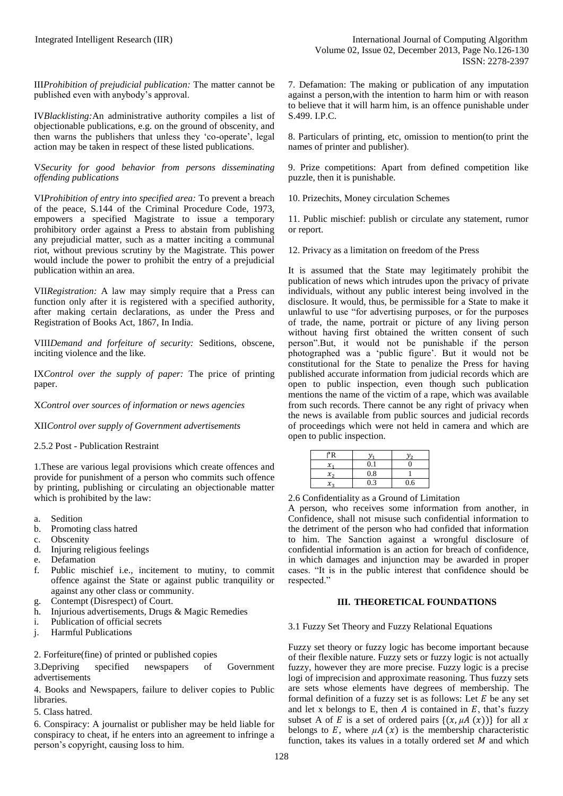III*Prohibition of prejudicial publication:* The matter cannot be published even with anybody's approval.

IV*Blacklisting:*An administrative authority compiles a list of objectionable publications, e.g. on the ground of obscenity, and then warns the publishers that unless they 'co-operate', legal action may be taken in respect of these listed publications.

V*Security for good behavior from persons disseminating offending publications*

VI*Prohibition of entry into specified area:* To prevent a breach of the peace, S.144 of the Criminal Procedure Code, 1973, empowers a specified Magistrate to issue a temporary prohibitory order against a Press to abstain from publishing any prejudicial matter, such as a matter inciting a communal riot, without previous scrutiny by the Magistrate. This power would include the power to prohibit the entry of a prejudicial publication within an area.

VII*Registration:* A law may simply require that a Press can function only after it is registered with a specified authority, after making certain declarations, as under the Press and Registration of Books Act, 1867, In India.

VIII*Demand and forfeiture of security:* Seditions, obscene, inciting violence and the like.

IX*Control over the supply of paper:* The price of printing paper.

X*Control over sources of information or news agencies*

XII*Control over supply of Government advertisements*

2.5.2 Post - Publication Restraint

1.These are various legal provisions which create offences and provide for punishment of a person who commits such offence by printing, publishing or circulating an objectionable matter which is prohibited by the law:

- a. Sedition
- b. Promoting class hatred
- c. Obscenity
- d. Injuring religious feelings
- e. Defamation
- f. Public mischief i.e., incitement to mutiny, to commit offence against the State or against public tranquility or against any other class or community.
- g. Contempt (Disrespect) of Court.
- h. Injurious advertisements, Drugs & Magic Remedies
- i. Publication of official secrets
- j. Harmful Publications

2. Forfeiture(fine) of printed or published copies

3.Depriving specified newspapers of Government advertisements

4. Books and Newspapers, failure to deliver copies to Public libraries.

5. Class hatred.

6. Conspiracy: A journalist or publisher may be held liable for conspiracy to cheat, if he enters into an agreement to infringe a person's copyright, causing loss to him.

7. Defamation: The making or publication of any imputation against a person,with the intention to harm him or with reason to believe that it will harm him, is an offence punishable under S.499. I.P.C.

8. Particulars of printing, etc, omission to mention(to print the names of printer and publisher).

9. Prize competitions: Apart from defined competition like puzzle, then it is punishable.

10. Prizechits, Money circulation Schemes

11. Public mischief: publish or circulate any statement, rumor or report.

12. Privacy as a limitation on freedom of the Press

It is assumed that the State may legitimately prohibit the publication of news which intrudes upon the privacy of private individuals, without any public interest being involved in the disclosure. It would, thus, be permissible for a State to make it unlawful to use "for advertising purposes, or for the purposes of trade, the name, portrait or picture of any living person without having first obtained the written consent of such person".But, it would not be punishable if the person photographed was a 'public figure'. But it would not be constitutional for the State to penalize the Press for having published accurate information from judicial records which are open to public inspection, even though such publication mentions the name of the victim of a rape, which was available from such records. There cannot be any right of privacy when the news is available from public sources and judicial records of proceedings which were not held in camera and which are open to public inspection.

| $\mathcal{X}$ |     |     |
|---------------|-----|-----|
| $x_{2}$       | 0.8 |     |
| $x_{2}$       |     | 0.6 |

2.6 Confidentiality as a Ground of Limitation

A person, who receives some information from another, in Confidence, shall not misuse such confidential information to the detriment of the person who had confided that information to him. The Sanction against a wrongful disclosure of confidential information is an action for breach of confidence, in which damages and injunction may be awarded in proper cases. "It is in the public interest that confidence should be respected."

## **III. THEORETICAL FOUNDATIONS**

## 3.1 Fuzzy Set Theory and Fuzzy Relational Equations

Fuzzy set theory or fuzzy logic has become important because of their flexible nature. Fuzzy sets or fuzzy logic is not actually fuzzy, however they are more precise. Fuzzy logic is a precise logi of imprecision and approximate reasoning. Thus fuzzy sets are sets whose elements have degrees of membership. The formal definition of a fuzzy set is as follows: Let  $E$  be any set and let x belongs to E, then  $A$  is contained in  $E$ , that's fuzzy subset A of E is a set of ordered pairs  $\{(x, \mu A(x))\}$  for all x belongs to  $E$ , where  $\mu A(x)$  is the membership characteristic function, takes its values in a totally ordered set  $M$  and which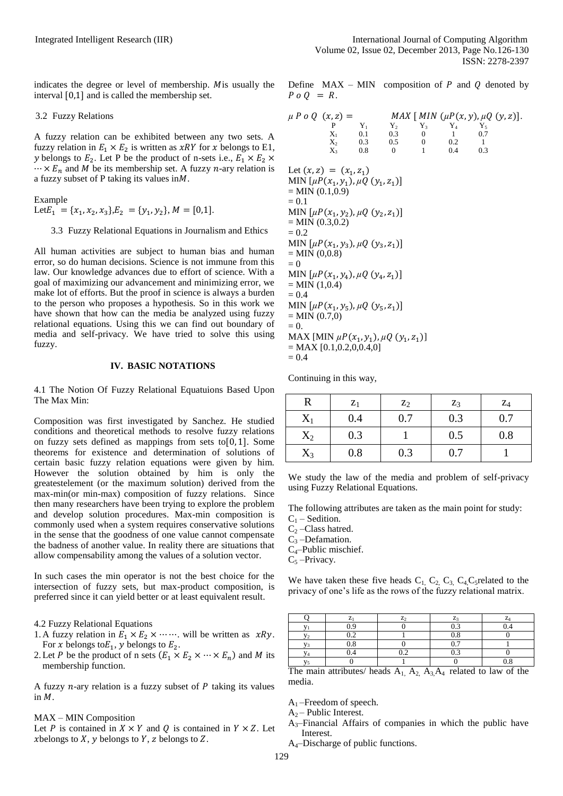indicates the degree or level of membership. Mis usually the interval  $[0,1]$  and is called the membership set.

#### 3.2 Fuzzy Relations

A fuzzy relation can be exhibited between any two sets. A fuzzy relation in  $E_1 \times E_2$  is written as *xRY* for *x* belongs to E1, y belongs to  $E_2$ . Let P be the product of n-sets i.e.,  $\cdots \times E_n$  and *M* be its membership set. A fuzzy *n*-ary relation is a fuzzy subset of P taking its values in  $M$ .

Example Let  $E_1 = \{x_1, x_2, x_3\}, E_2 = \{y_1, y_2\}, M = [0,1].$ 

3.3 Fuzzy Relational Equations in Journalism and Ethics

All human activities are subject to human bias and human error, so do human decisions. Science is not immune from this law. Our knowledge advances due to effort of science. With a goal of maximizing our advancement and minimizing error, we make lot of efforts. But the proof in science is always a burden to the person who proposes a hypothesis. So in this work we have shown that how can the media be analyzed using fuzzy relational equations. Using this we can find out boundary of media and self-privacy. We have tried to solve this using fuzzy.

## **IV. BASIC NOTATIONS**

4.1 The Notion Of Fuzzy Relational Equatuions Based Upon The Max Min:

Composition was first investigated by Sanchez. He studied conditions and theoretical methods to resolve fuzzy relations on fuzzy sets defined as mappings from sets to  $[0, 1]$ . Some theorems for existence and determination of solutions of certain basic fuzzy relation equations were given by him. However the solution obtained by him is only the greatestelement (or the maximum solution) derived from the max-min(or min-max) composition of fuzzy relations. Since then many researchers have been trying to explore the problem and develop solution procedures. Max-min composition is commonly used when a system requires conservative solutions in the sense that the goodness of one value cannot compensate the badness of another value. In reality there are situations that allow compensability among the values of a solution vector.

In such cases the min operator is not the best choice for the intersection of fuzzy sets, but max-product composition, is preferred since it can yield better or at least equivalent result.

#### 4.2 Fuzzy Relational Equations

- 1. A fuzzy relation in  $E_1 \times E_2 \times \cdots \times$  will be written as  $xRy$ . For x belongs to  $E_1$ , y belongs to  $E_2$ .
- 2. Let P be the product of n sets  $(E_1 \times E_2 \times \cdots \times E_n)$  and M its membership function.

A fuzzy  $n$ -ary relation is a fuzzy subset of  $P$  taking its values in  $M$ .

#### MAX – MIN Composition

Let P is contained in  $X \times Y$  and Q is contained in  $Y \times Z$ . Let *x* belongs to  $X$ ,  $y$  belongs to  $Y$ ,  $z$  belongs to  $Z$ .

|                   |  | Define $MAX - MIN$ composition of P and Q denoted by |  |  |  |
|-------------------|--|------------------------------------------------------|--|--|--|
| $P \circ O = R$ . |  |                                                      |  |  |  |

| $\mu P \circ Q(x, z) =$                                                                                                                                                                                                                                                                                                                                                                                                                                                                                                   | $\mathbf{P}$<br>$X_1$ 0.1<br>$X_2$<br>$X_3$ 0.8 | $Y_1$ | $Y_2$ $Y_3$ $Y_4$ $Y_5$<br>$0.3$ 0<br>$0.3$ $0.5$ 0<br>$\mathbf{0}$ | $\overline{1}$ | <i>MAX</i> [ <i>MIN</i> $(\mu P(x, y), \mu Q(y, z))$ .<br>$\sim$ 1.<br>0.2<br>0.4 | 0.7<br>$\overline{1}$<br>0.3 |  |
|---------------------------------------------------------------------------------------------------------------------------------------------------------------------------------------------------------------------------------------------------------------------------------------------------------------------------------------------------------------------------------------------------------------------------------------------------------------------------------------------------------------------------|-------------------------------------------------|-------|---------------------------------------------------------------------|----------------|-----------------------------------------------------------------------------------|------------------------------|--|
| Let $(x, z) = (x_1, z_1)$<br>MIN [ $\mu P(x_1, y_1)$ , $\mu Q(y_1, z_1)$ ]<br>$=$ MIN $(0.1, 0.9)$<br>$= 0.1$<br>MIN $[\mu P(x_1, y_2), \mu Q(y_2, z_1)]$<br>$=$ MIN (0.3,0.2)<br>$= 0.2$<br>MIN $[\mu P(x_1, y_3), \mu Q(y_3, z_1)]$<br>$=$ MIN $(0,0.8)$<br>$= 0$<br>MIN $[\mu P(x_1, y_4), \mu Q(y_4, z_1)]$<br>$=$ MIN $(1,0.4)$<br>$= 0.4$<br>MIN $[\mu P(x_1, y_5), \mu Q(y_5, z_1)]$<br>$=$ MIN $(0.7,0)$<br>$= 0.$<br>MAX [MIN $\mu P(x_1, y_1)$ , $\mu Q(y_1, z_1)$ ]<br>$= MAX [0.1, 0.2, 0.0.4, 0]$<br>$= 0.4$ |                                                 |       |                                                                     |                |                                                                                   |                              |  |

Continuing in this way,

| R         | $z_1$ | $\mathbf{z}_2$ | $Z_3$ | $Z_4$ |
|-----------|-------|----------------|-------|-------|
| $\rm X_1$ | 0.4   | 0.7            | 0.3   | 0.7   |
| $X_2$     | 0.3   |                | 0.5   | 0.8   |
| $X_3$     | 0.8   | 0.3            | 0.7   |       |

We study the law of the media and problem of self-privacy using Fuzzy Relational Equations.

The following attributes are taken as the main point for study:

 $C_1$  – Sedition.

 $C_2$  –Class hatred.

 $C_3$  –Defamation.

C4–Public mischief.

 $C_5$ -Privacy.

We have taken these five heads  $C_1$ ,  $C_2$ ,  $C_3$ ,  $C_4$ ,  $C_5$  related to the privacy of one's life as the rows of the fuzzy relational matrix.

|   | n               | ⇁<br>↵                        | -<br>L.        | - |
|---|-----------------|-------------------------------|----------------|---|
|   |                 |                               |                |   |
|   | $\Omega$<br>ے . |                               | $\sim$         |   |
|   | $\Omega$<br>c   |                               |                |   |
| 4 |                 | $\mathbf{v} \cdot \mathbf{v}$ | $\mathbf{v}$ . |   |
|   |                 |                               |                | ີ |

The main attributes/ heads  $A_1$ ,  $A_2$ ,  $A_3$ ,  $A_4$  related to law of the media.

 $A_1$ –Freedom of speech.

 $A_2$  – Public Interest.

 $A_3$ –Financial Affairs of companies in which the public have Interest.

A4–Discharge of public functions.